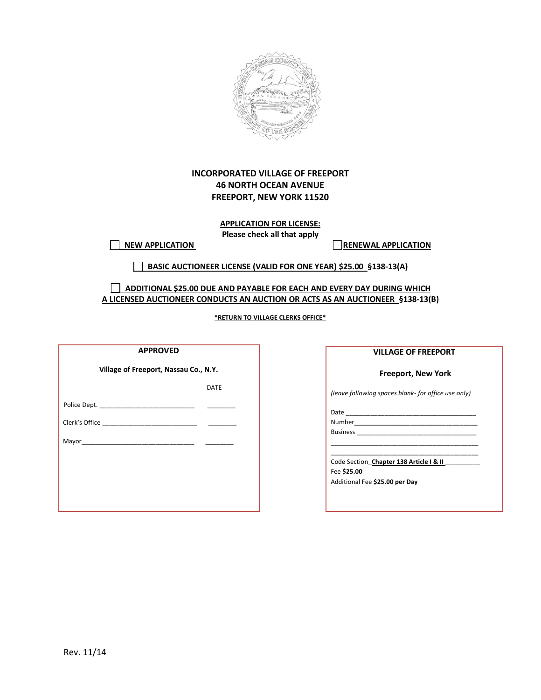

# **INCORPORATED VILLAGE OF FREEPORT 46 NORTH OCEAN AVENUE FREEPORT, NEW YORK 11520**

**APPLICATION FOR LICENSE: Please check all that apply**

 **NEW APPLICATION RENEWAL APPLICATION**

 **BASIC AUCTIONEER LICENSE (VALID FOR ONE YEAR) \$25.00 §138-13(A)**

 **ADDITIONAL \$25.00 DUE AND PAYABLE FOR EACH AND EVERY DAY DURING WHICH A LICENSED AUCTIONEER CONDUCTS AN AUCTION OR ACTS AS AN AUCTIONEER §138-13(B)**

**\*RETURN TO VILLAGE CLERKS OFFICE\***

| <b>APPROVED</b>                       |             |  |
|---------------------------------------|-------------|--|
| Village of Freeport, Nassau Co., N.Y. |             |  |
|                                       | <b>DATE</b> |  |
|                                       |             |  |
|                                       |             |  |
|                                       |             |  |
|                                       |             |  |
|                                       |             |  |
|                                       |             |  |
|                                       |             |  |

### **VILLAGE OF FREEPORT**

### **Freeport, New York**

*(leave following spaces blank- for office use only)* 

Date  $\overline{\phantom{a}}$ 

Number\_\_\_\_\_\_\_\_\_\_\_\_\_\_\_\_\_\_\_\_\_\_\_\_\_\_\_\_\_\_\_\_\_\_\_ Business \_\_\_\_\_\_\_\_\_\_\_\_\_\_\_\_\_\_\_\_\_\_\_\_\_\_\_\_\_\_\_\_\_\_ \_\_\_\_\_\_\_\_\_\_\_\_\_\_\_\_\_\_\_\_\_\_\_\_\_\_\_\_\_\_\_\_\_\_\_\_\_\_\_\_\_\_

\_\_\_\_\_\_\_\_\_\_\_\_\_\_\_\_\_\_\_\_\_\_\_\_\_\_\_\_\_\_\_\_\_\_\_\_\_\_\_\_\_\_ Code Section\_**Chapter 138 Article I & II** \_\_\_\_\_\_\_\_\_\_ Fee **\$25.00** Additional Fee **\$25.00 per Day**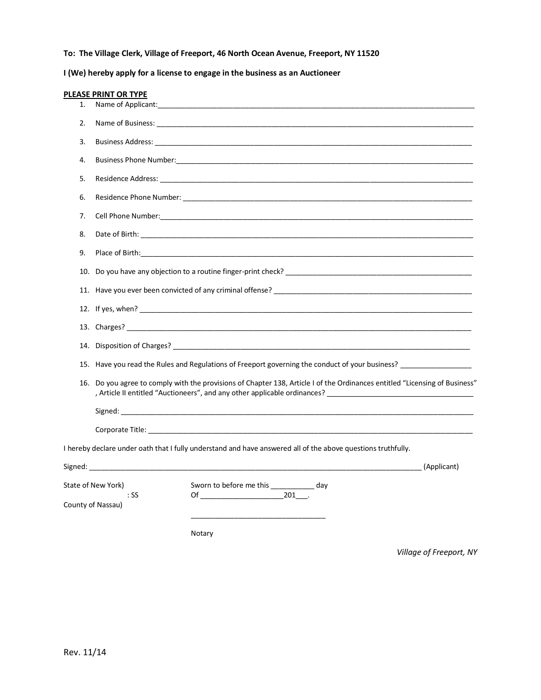# **To: The Village Clerk, Village of Freeport, 46 North Ocean Avenue, Freeport, NY 11520**

**I (We) hereby apply for a license to engage in the business as an Auctioneer**

|     | <b>PLEASE PRINT OR TYPE</b>                                                                                                                                                                            |                                                                                                                                                                                                                                |  |  |
|-----|--------------------------------------------------------------------------------------------------------------------------------------------------------------------------------------------------------|--------------------------------------------------------------------------------------------------------------------------------------------------------------------------------------------------------------------------------|--|--|
| 1.  |                                                                                                                                                                                                        |                                                                                                                                                                                                                                |  |  |
| 2.  |                                                                                                                                                                                                        |                                                                                                                                                                                                                                |  |  |
| 3.  |                                                                                                                                                                                                        |                                                                                                                                                                                                                                |  |  |
| 4.  |                                                                                                                                                                                                        |                                                                                                                                                                                                                                |  |  |
| 5.  |                                                                                                                                                                                                        |                                                                                                                                                                                                                                |  |  |
| 6.  |                                                                                                                                                                                                        |                                                                                                                                                                                                                                |  |  |
| 7.  |                                                                                                                                                                                                        |                                                                                                                                                                                                                                |  |  |
| 8.  |                                                                                                                                                                                                        | Date of Birth: with a state of the state of the state of the state of the state of the state of the state of the state of the state of the state of the state of the state of the state of the state of the state of the state |  |  |
| 9.  |                                                                                                                                                                                                        | Place of Birth: The contract of the contract of the contract of the contract of the contract of the contract of the contract of the contract of the contract of the contract of the contract of the contract of the contract o |  |  |
|     |                                                                                                                                                                                                        |                                                                                                                                                                                                                                |  |  |
|     |                                                                                                                                                                                                        |                                                                                                                                                                                                                                |  |  |
|     |                                                                                                                                                                                                        |                                                                                                                                                                                                                                |  |  |
|     |                                                                                                                                                                                                        |                                                                                                                                                                                                                                |  |  |
|     |                                                                                                                                                                                                        |                                                                                                                                                                                                                                |  |  |
|     |                                                                                                                                                                                                        | 15. Have you read the Rules and Regulations of Freeport governing the conduct of your business?                                                                                                                                |  |  |
|     | 16. Do you agree to comply with the provisions of Chapter 138, Article I of the Ordinances entitled "Licensing of Business"<br>Article II entitled "Auctioneers", and any other applicable ordinances? |                                                                                                                                                                                                                                |  |  |
|     |                                                                                                                                                                                                        |                                                                                                                                                                                                                                |  |  |
|     |                                                                                                                                                                                                        |                                                                                                                                                                                                                                |  |  |
|     |                                                                                                                                                                                                        | I hereby declare under oath that I fully understand and have answered all of the above questions truthfully.                                                                                                                   |  |  |
|     |                                                                                                                                                                                                        |                                                                                                                                                                                                                                |  |  |
|     | State of New York)                                                                                                                                                                                     | Sworn to before me this _____________ day                                                                                                                                                                                      |  |  |
| :SS |                                                                                                                                                                                                        | Of 201 .                                                                                                                                                                                                                       |  |  |
|     | County of Nassau)                                                                                                                                                                                      |                                                                                                                                                                                                                                |  |  |
|     |                                                                                                                                                                                                        |                                                                                                                                                                                                                                |  |  |
|     |                                                                                                                                                                                                        | Notary                                                                                                                                                                                                                         |  |  |

*Village of Freeport, NY*